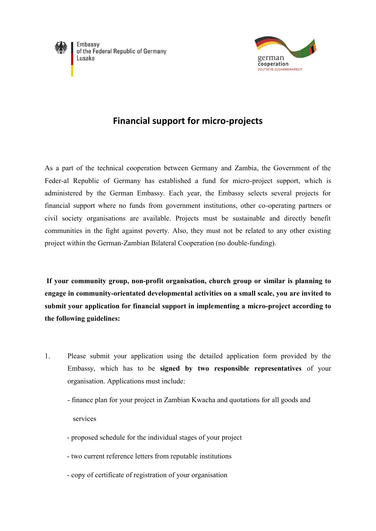

Embassy of the Federal Republic of Germany Lusaka



## **Financial support for micro-projects**

As a part of the technical cooperation between Germany and Zambia, the Government of the Feder-al Republic of Germany has established a fund for micro-project support, which is administered by the German Embassy. Each year, the Embassy selects several projects for financial support where no funds from government institutions, other co-operating partners or civil society organisations are available. Projects must be sustainable and directly benefit communities in the fight against poverty. Also, they must not be related to any other existing project within the German-Zambian Bilateral Cooperation (no double-funding).

**If your community group, non-profit organisation, church group or similar is planning to engage in community-orientated developmental activities on a small scale, you are invited to submit your application for financial support in implementing a micro-project according to the following guidelines:**

- 1. Please submit your application using the detailed application form provided by the Embassy, which has to be **signed by two responsible representatives** of your organisation. Applications must include:
	- finance plan for your project in Zambian Kwacha and quotations for all goods and services
	- proposed schedule for the individual stages of your project
	- two current reference letters from reputable institutions
	- copy of certificate of registration of your organisation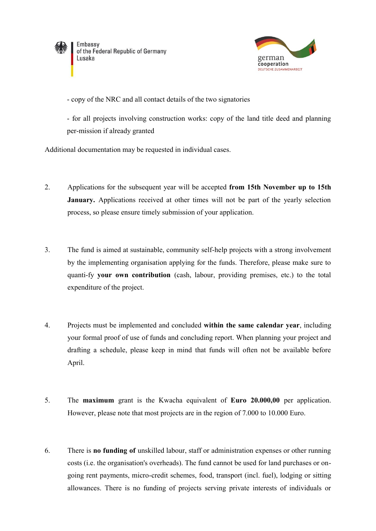

Embassy of the Federal Republic of Germany Lusaka



- copy of the NRC and all contact details of the two signatories

- for all projects involving construction works: copy of the land title deed and planning per-mission if already granted

Additional documentation may be requested in individual cases.

- 2. Applications for the subsequent year will be accepted **from 15th November up to 15th January.** Applications received at other times will not be part of the yearly selection process, so please ensure timely submission of your application.
- 3. The fund is aimed at sustainable, community self-help projects with a strong involvement by the implementing organisation applying for the funds. Therefore, please make sure to quanti-fy **your own contribution** (cash, labour, providing premises, etc.) to the total expenditure of the project.
- 4. Projects must be implemented and concluded **within the same calendar year**, including your formal proof of use of funds and concluding report. When planning your project and drafting a schedule, please keep in mind that funds will often not be available before April.
- 5. The **maximum** grant is the Kwacha equivalent of **Euro 20.000,00** per application. However, please note that most projects are in the region of 7.000 to 10.000 Euro.
- 6. There is **no funding of** unskilled labour, staff or administration expenses or other running costs (i.e. the organisation's overheads). The fund cannot be used for land purchases or ongoing rent payments, micro-credit schemes, food, transport (incl. fuel), lodging or sitting allowances. There is no funding of projects serving private interests of individuals or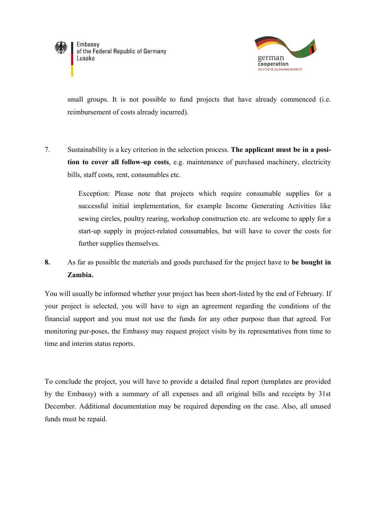



small groups. It is not possible to fund projects that have already commenced (i.e. reimbursement of costs already incurred).

7. Sustainability is a key criterion in the selection process. **The applicant must be in a position to cover all follow-up costs**, e.g. maintenance of purchased machinery, electricity bills, staff costs, rent, consumables etc.

> Exception: Please note that projects which require consumable supplies for a successful initial implementation, for example Income Generating Activities like sewing circles, poultry rearing, workshop construction etc. are welcome to apply for a start-up supply in project-related consumables, but will have to cover the costs for further supplies themselves.

**8.** As far as possible the materials and goods purchased for the project have to **be bought in Zambia.**

You will usually be informed whether your project has been short-listed by the end of February. If your project is selected, you will have to sign an agreement regarding the conditions of the financial support and you must not use the funds for any other purpose than that agreed. For monitoring pur-poses, the Embassy may request project visits by its representatives from time to time and interim status reports.

To conclude the project, you will have to provide a detailed final report (templates are provided by the Embassy) with a summary of all expenses and all original bills and receipts by 31st December. Additional documentation may be required depending on the case. Also, all unused funds must be repaid.